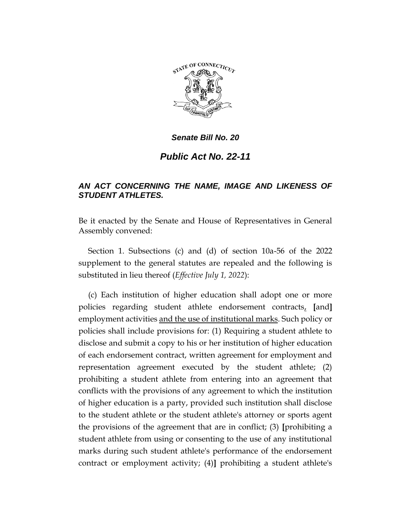

#### *Senate Bill No. 20*

# *Public Act No. 22-11*

## *AN ACT CONCERNING THE NAME, IMAGE AND LIKENESS OF STUDENT ATHLETES.*

Be it enacted by the Senate and House of Representatives in General Assembly convened:

Section 1. Subsections (c) and (d) of section 10a-56 of the 2022 supplement to the general statutes are repealed and the following is substituted in lieu thereof (*Effective July 1, 2022*):

(c) Each institution of higher education shall adopt one or more policies regarding student athlete endorsement contracts, **[**and**]**  employment activities and the use of institutional marks. Such policy or policies shall include provisions for: (1) Requiring a student athlete to disclose and submit a copy to his or her institution of higher education of each endorsement contract, written agreement for employment and representation agreement executed by the student athlete; (2) prohibiting a student athlete from entering into an agreement that conflicts with the provisions of any agreement to which the institution of higher education is a party, provided such institution shall disclose to the student athlete or the student athlete's attorney or sports agent the provisions of the agreement that are in conflict; (3) **[**prohibiting a student athlete from using or consenting to the use of any institutional marks during such student athlete's performance of the endorsement contract or employment activity; (4)**]** prohibiting a student athlete's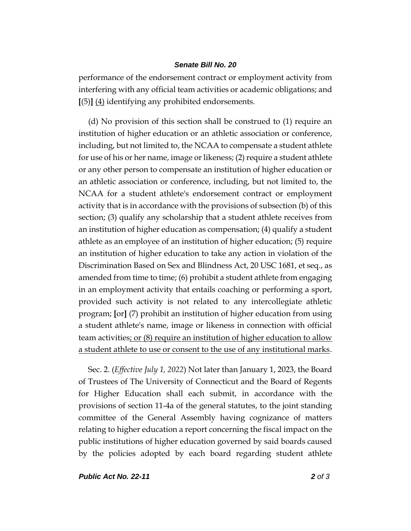#### *Senate Bill No. 20*

performance of the endorsement contract or employment activity from interfering with any official team activities or academic obligations; and **[**(5)**]** (4) identifying any prohibited endorsements.

(d) No provision of this section shall be construed to (1) require an institution of higher education or an athletic association or conference, including, but not limited to, the NCAA to compensate a student athlete for use of his or her name, image or likeness; (2) require a student athlete or any other person to compensate an institution of higher education or an athletic association or conference, including, but not limited to, the NCAA for a student athlete's endorsement contract or employment activity that is in accordance with the provisions of subsection (b) of this section; (3) qualify any scholarship that a student athlete receives from an institution of higher education as compensation; (4) qualify a student athlete as an employee of an institution of higher education; (5) require an institution of higher education to take any action in violation of the Discrimination Based on Sex and Blindness Act, 20 USC 1681, et seq., as amended from time to time; (6) prohibit a student athlete from engaging in an employment activity that entails coaching or performing a sport, provided such activity is not related to any intercollegiate athletic program; **[**or**]** (7) prohibit an institution of higher education from using a student athlete's name, image or likeness in connection with official team activities; or (8) require an institution of higher education to allow a student athlete to use or consent to the use of any institutional marks.

Sec. 2. (*Effective July 1, 2022*) Not later than January 1, 2023, the Board of Trustees of The University of Connecticut and the Board of Regents for Higher Education shall each submit, in accordance with the provisions of section 11-4a of the general statutes, to the joint standing committee of the General Assembly having cognizance of matters relating to higher education a report concerning the fiscal impact on the public institutions of higher education governed by said boards caused by the policies adopted by each board regarding student athlete